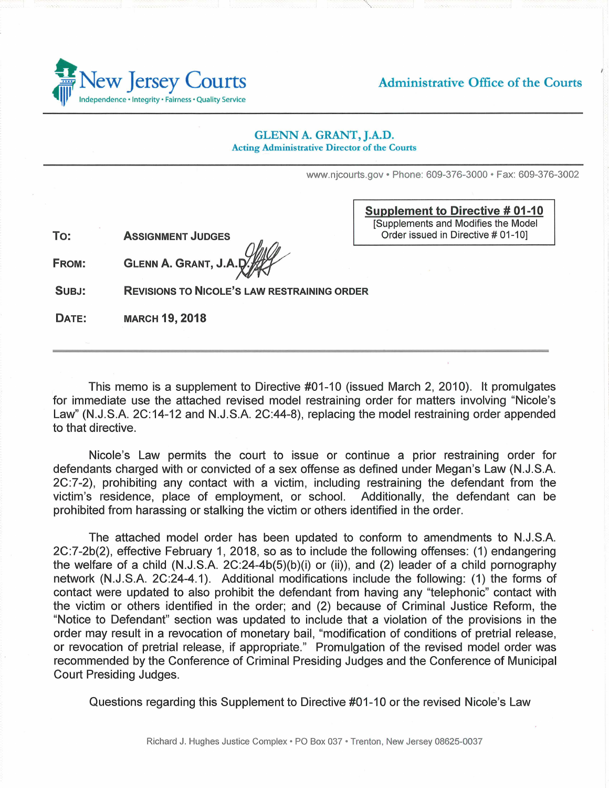

Administrative Office of the Courts

## **GLENN A. GRANT, J.A.D. Acting Administrative Director of the Courts**

www.njcourts.gov • Phone: 609-376-3000 • Fax: 609-376-3002

**To: ASSIGNMENT JUDGES**  **Supplement to Directive # 01-10** [Supplements and Modifies the Model Order issued in Directive # 01-10]

**FROM: GLENN A. GRANT, J.A.** 

**SUBJ: REVISIONS TO NICOLE'S LAW RESTRAINING ORDER** 

**DATE: MARCH 19, 2018** 

This memo is a supplement to Directive #01-10 (issued March 2, 2010). It promulgates for immediate use the attached revised model restraining order for matters involving "Nicole's Law" (N.J.S.A. 2C:14-12 and N.J.S.A. 2C:44-8), replacing the model restraining order appended to that directive.

Nicole's Law permits the court to issue or continue a prior restraining order for defendants charged with or convicted of a sex offense as defined under Megan's Law (N.J.S.A. 2C:7-2), prohibiting any contact with a victim, including restraining the defendant from the victim's residence, place of employment, or school. Additionally, the defendant can be prohibited from harassing or stalking the victim or others identified in the order.

The attached model order has been updated to conform to amendments to N.J.S.A. 2C:7-2b(2), effective February 1, 2018, so as to include the following offenses: (1) endangering the welfare of a child (N.J.S.A. 2C:24-4b(5)(b)(i) or (ii)), and (2) leader of a child pornography network (N.J.S.A. 2C:24-4.1). Additional modifications include the following: (1) the forms of contact were updated to also prohibit the defendant from having any "telephonic" contact with the victim or others identified in the order; and (2) because of Criminal Justice Reform, the "Notice to Defendant" section was updated to include that a violation of the provisions in the order may result in a revocation of monetary bail, "modification of conditions of pretrial release, or revocation of pretrial release, if appropriate." Promulgation of the revised model order was recommended by the Conference of Criminal Presiding Judges and the Conference of Municipal Court Presiding Judges.

Questions regarding this Supplement to Directive #01-10 or the revised Nicole's Law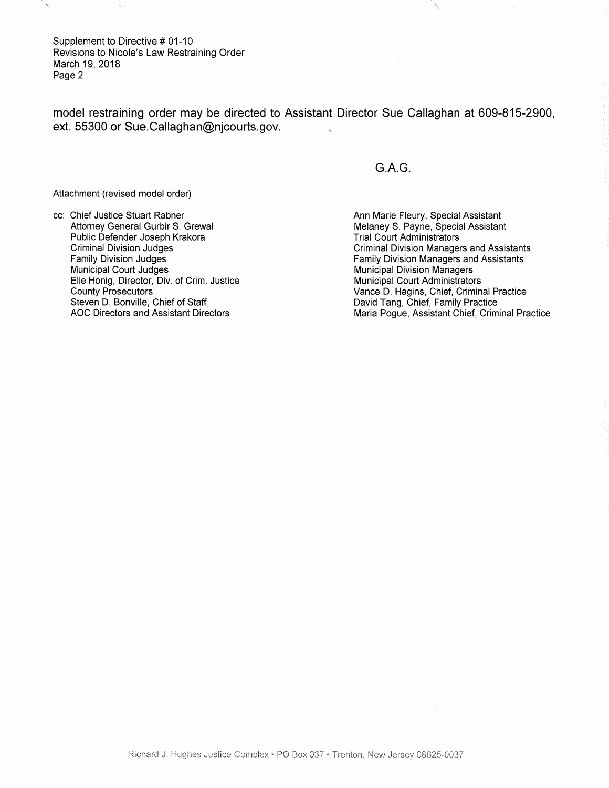Supplement to Directive # 01-10 Revisions to Nicole's Law Restraining Order March 19, 2018 Page 2

model restraining order may be directed to Assistant Director Sue Callaghan at 609-815-2900, ext. 55300 or Sue.Callaghan@njcourts.gov.

Attachment (revised model order)

cc: Chief Justice Stuart Rabner Attorney General Gurbir S. Grewal Public Defender Joseph Krakora Criminal Division Judges Family Division Judges Municipal Court Judges Elie Honig, Director, Div. of Crim. Justice County Prosecutors Steven D. Bonville, Chief of Staff AOC Directors and Assistant Directors

G.A.G.

Ann Marie Fleury, Special Assistant Melaney S. Payne, Special Assistant Trial Court Administrators Criminal Division Managers and Assistants Family Division Managers and Assistants Municipal Division Managers Municipal Court Administrators Vance D. Hagins, Chief, Criminal Practice David Tang, Chief, Family Practice Maria Pogue, Assistant Chief, Criminal Practice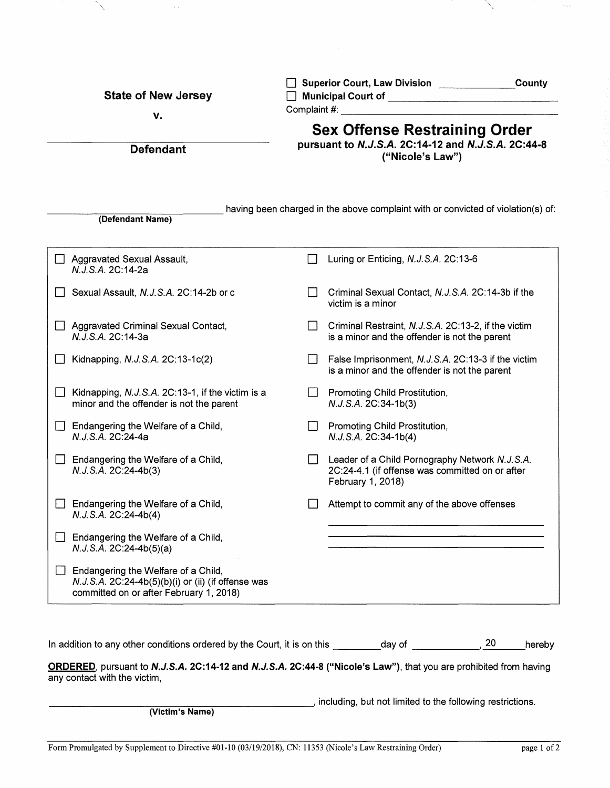| <b>State of New Jersey</b><br>v.                                                                                                     | Superior Court, Law Division County<br>□ Municipal Court of <u>_______________________________</u><br><b>Complaint #: Example 2018</b> |
|--------------------------------------------------------------------------------------------------------------------------------------|----------------------------------------------------------------------------------------------------------------------------------------|
| <b>Defendant</b>                                                                                                                     | <b>Sex Offense Restraining Order</b><br>pursuant to N.J.S.A. 2C:14-12 and N.J.S.A. 2C:44-8<br>("Nicole's Law")                         |
| (Defendant Name)                                                                                                                     | having been charged in the above complaint with or convicted of violation(s) of:                                                       |
| Aggravated Sexual Assault,<br>N.J.S.A. 2C:14-2a                                                                                      | Luring or Enticing, N.J.S.A. 2C:13-6                                                                                                   |
| Sexual Assault, N.J.S.A. 2C:14-2b or c                                                                                               | Criminal Sexual Contact, N.J.S.A. 2C:14-3b if the<br>victim is a minor                                                                 |
| Aggravated Criminal Sexual Contact,<br>N.J.S.A. 2C:14-3a                                                                             | Criminal Restraint, N.J.S.A. 2C:13-2, if the victim<br>is a minor and the offender is not the parent                                   |
| Kidnapping, N.J.S.A. 2C:13-1c(2)                                                                                                     | False Imprisonment, N.J.S.A. 2C:13-3 if the victim<br>is a minor and the offender is not the parent                                    |
| Kidnapping, N.J.S.A. 2C:13-1, if the victim is a<br>minor and the offender is not the parent                                         | Promoting Child Prostitution,<br>N.J.S.A. 2C:34-1b(3)                                                                                  |
| Endangering the Welfare of a Child,<br>N.J.S.A. 2C:24-4a                                                                             | Promoting Child Prostitution,<br>N.J.S.A. 2C:34-1b(4)                                                                                  |
| Endangering the Welfare of a Child,<br>N.J.S.A. 2C:24-4b(3)                                                                          | Leader of a Child Pornography Network N.J.S.A.<br>2C:24-4.1 (if offense was committed on or after<br>February 1, 2018)                 |
| Endangering the Welfare of a Child,<br>N.J.S.A. 2C:24-4b(4)                                                                          | Attempt to commit any of the above offenses                                                                                            |
| Endangering the Welfare of a Child,<br>$N.J.S.A. 2C:24-4b(5)(a)$                                                                     |                                                                                                                                        |
| Endangering the Welfare of a Child,<br>N.J.S.A. 2C:24-4b(5)(b)(i) or (ii) (if offense was<br>committed on or after February 1, 2018) |                                                                                                                                        |
| In addition to any other conditions ordered by the Court, it is on this ________day of _________<br>any contact with the victim,     | 20<br>hereby<br>ORDERED, pursuant to N.J.S.A. 2C:14-12 and N.J.S.A. 2C:44-8 ("Nicole's Law"), that you are prohibited from having      |

<sub>\_</sub>, including, but not limited to the following restrictions.

**(Victim's Name)** 

Z.

N.